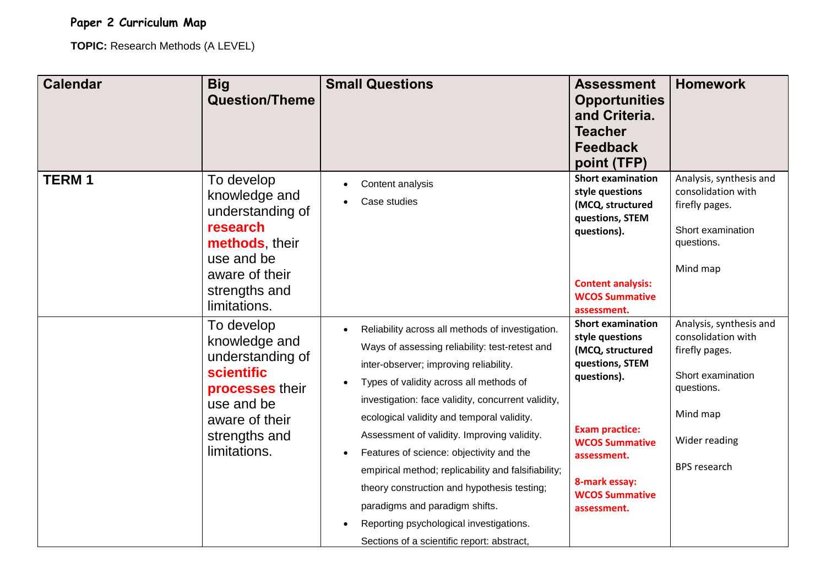## **Paper 2 Curriculum Map**

**TOPIC:** Research Methods (A LEVEL)

| <b>Calendar</b> | <b>Big</b><br><b>Question/Theme</b>                                                                                                               | <b>Small Questions</b>                                                                                                                                                                                                                                                                                                                                                                                                                                                                                                                                                                                                                                         | <b>Assessment</b><br><b>Opportunities</b><br>and Criteria.<br><b>Teacher</b><br><b>Feedback</b><br>point (TFP)                                                                                                              | <b>Homework</b>                                                                                                                                        |
|-----------------|---------------------------------------------------------------------------------------------------------------------------------------------------|----------------------------------------------------------------------------------------------------------------------------------------------------------------------------------------------------------------------------------------------------------------------------------------------------------------------------------------------------------------------------------------------------------------------------------------------------------------------------------------------------------------------------------------------------------------------------------------------------------------------------------------------------------------|-----------------------------------------------------------------------------------------------------------------------------------------------------------------------------------------------------------------------------|--------------------------------------------------------------------------------------------------------------------------------------------------------|
| <b>TERM1</b>    | To develop<br>knowledge and<br>understanding of<br>research<br>methods their<br>use and be<br>aware of their<br>strengths and<br>limitations.     | Content analysis<br>Case studies<br>$\bullet$                                                                                                                                                                                                                                                                                                                                                                                                                                                                                                                                                                                                                  | <b>Short examination</b><br>style questions<br>(MCQ, structured<br>questions, STEM<br>questions).<br><b>Content analysis:</b><br><b>WCOS Summative</b><br>assessment.                                                       | Analysis, synthesis and<br>consolidation with<br>firefly pages.<br>Short examination<br>questions.<br>Mind map                                         |
|                 | To develop<br>knowledge and<br>understanding of<br>scientific<br>processes their<br>use and be<br>aware of their<br>strengths and<br>limitations. | Reliability across all methods of investigation.<br>$\bullet$<br>Ways of assessing reliability: test-retest and<br>inter-observer; improving reliability.<br>Types of validity across all methods of<br>$\bullet$<br>investigation: face validity, concurrent validity,<br>ecological validity and temporal validity.<br>Assessment of validity. Improving validity.<br>Features of science: objectivity and the<br>$\bullet$<br>empirical method; replicability and falsifiability;<br>theory construction and hypothesis testing;<br>paradigms and paradigm shifts.<br>Reporting psychological investigations.<br>Sections of a scientific report: abstract, | <b>Short examination</b><br>style questions<br>(MCQ, structured<br>questions, STEM<br>questions).<br><b>Exam practice:</b><br><b>WCOS Summative</b><br>assessment.<br>8-mark essay:<br><b>WCOS Summative</b><br>assessment. | Analysis, synthesis and<br>consolidation with<br>firefly pages.<br>Short examination<br>questions.<br>Mind map<br>Wider reading<br><b>BPS</b> research |